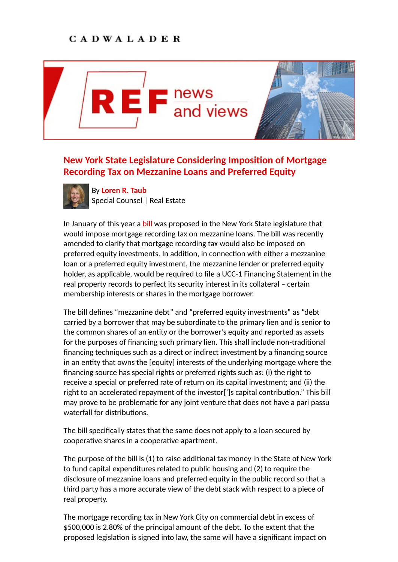## **CADWALADER**



## **New York State Legislature Considering Imposition of Mortgage Recording Tax on Mezzanine Loans and Preferred Equity**



By **[Loren R. Taub](https://www.cadwalader.com/professionals/loren-taub)** Special Counsel | Real Estate

In January of this year a **bill** was proposed in the New York State legislature that would impose mortgage recording tax on mezzanine loans. The bill was recently amended to clarify that mortgage recording tax would also be imposed on preferred equity investments. In addition, in connection with either a mezzanine loan or a preferred equity investment, the mezzanine lender or preferred equity holder, as applicable, would be required to file a UCC-1 Financing Statement in the real property records to perfect its security interest in its collateral – certain membership interests or shares in the mortgage borrower.

The bill defines "mezzanine debt" and "preferred equity investments" as "debt carried by a borrower that may be subordinate to the primary lien and is senior to the common shares of an entity or the borrower's equity and reported as assets for the purposes of financing such primary lien. This shall include non-traditional financing techniques such as a direct or indirect investment by a financing source in an entity that owns the [equity] interests of the underlying mortgage where the financing source has special rights or preferred rights such as: (i) the right to receive a special or preferred rate of return on its capital investment; and (ii) the right to an accelerated repayment of the investor [']s capital contribution." This bill may prove to be problematic for any joint venture that does not have a pari passu waterfall for distributions.

The bill specifically states that the same does not apply to a loan secured by cooperative shares in a cooperative apartment.

The purpose of the bill is  $(1)$  to raise additional tax money in the State of New York to fund capital expenditures related to public housing and (2) to require the disclosure of mezzanine loans and preferred equity in the public record so that a third party has a more accurate view of the debt stack with respect to a piece of real property.

The mortgage recording tax in New York City on commercial debt in excess of \$500,000 is 2.80% of the principal amount of the debt. To the extent that the proposed legislation is signed into law, the same will have a significant impact on